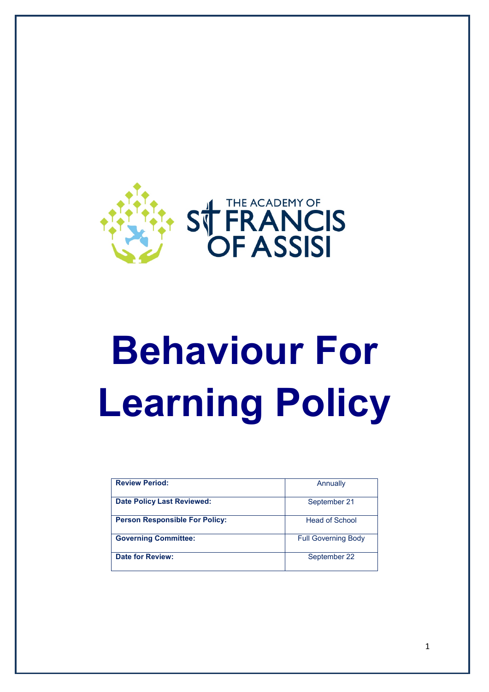

# **Behaviour For Learning Policy**

| <b>Review Period:</b>                 | Annually                   |
|---------------------------------------|----------------------------|
| <b>Date Policy Last Reviewed:</b>     | September 21               |
| <b>Person Responsible For Policy:</b> | Head of School             |
| <b>Governing Committee:</b>           | <b>Full Governing Body</b> |
| <b>Date for Review:</b>               | September 22               |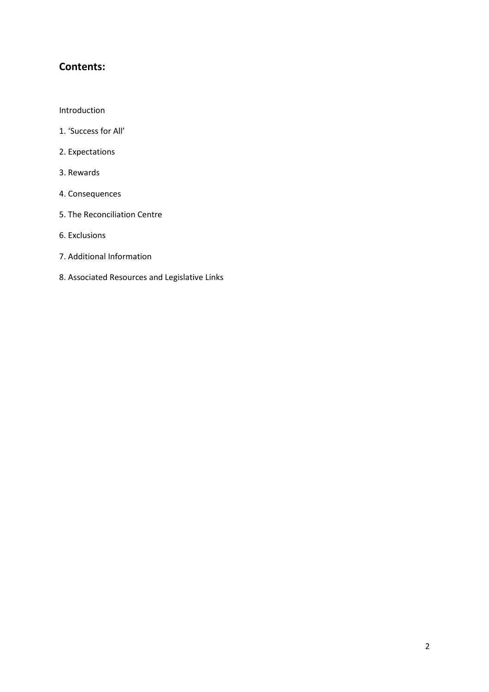# **Contents:**

#### Introduction

- 1. 'Success for All'
- 2. Expectations
- 3. Rewards
- 4. Consequences
- 5. The Reconciliation Centre
- 6. Exclusions
- 7. Additional Information
- 8. Associated Resources and Legislative Links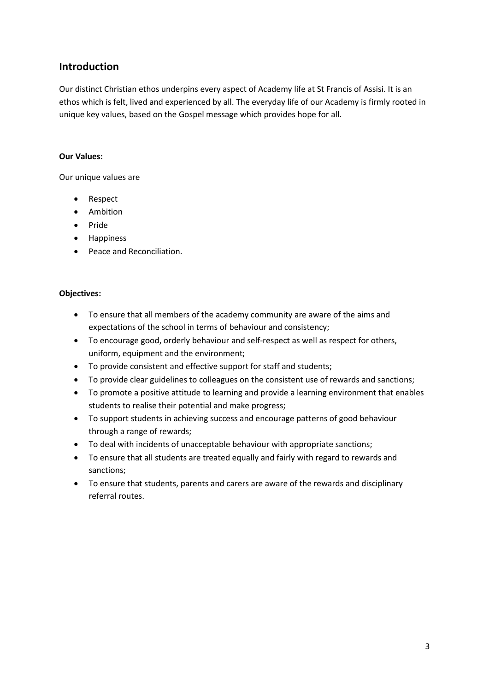# **Introduction**

Our distinct Christian ethos underpins every aspect of Academy life at St Francis of Assisi. It is an ethos which is felt, lived and experienced by all. The everyday life of our Academy is firmly rooted in unique key values, based on the Gospel message which provides hope for all.

# **Our Values:**

Our unique values are

- Respect
- Ambition
- Pride
- Happiness
- Peace and Reconciliation.

# **Objectives:**

- To ensure that all members of the academy community are aware of the aims and expectations of the school in terms of behaviour and consistency;
- To encourage good, orderly behaviour and self-respect as well as respect for others, uniform, equipment and the environment;
- To provide consistent and effective support for staff and students;
- To provide clear guidelines to colleagues on the consistent use of rewards and sanctions;
- To promote a positive attitude to learning and provide a learning environment that enables students to realise their potential and make progress;
- To support students in achieving success and encourage patterns of good behaviour through a range of rewards;
- To deal with incidents of unacceptable behaviour with appropriate sanctions;
- To ensure that all students are treated equally and fairly with regard to rewards and sanctions;
- To ensure that students, parents and carers are aware of the rewards and disciplinary referral routes.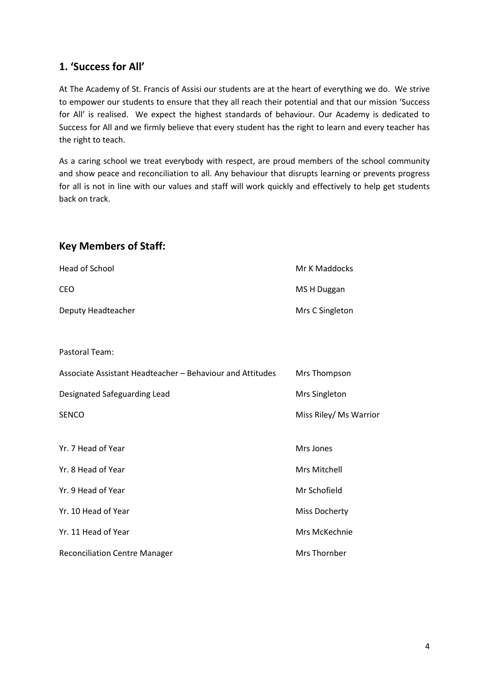# **1. 'Success for All'**

At The Academy of St. Francis of Assisi our students are at the heart of everything we do. We strive to empower our students to ensure that they all reach their potential and that our mission 'Success for All' is realised. We expect the highest standards of behaviour. Our Academy is dedicated to Success for All and we firmly believe that every student has the right to learn and every teacher has the right to teach.

As a caring school we treat everybody with respect, are proud members of the school community and show peace and reconciliation to all. Any behaviour that disrupts learning or prevents progress for all is not in line with our values and staff will work quickly and effectively to help get students back on track.

# **Key Members of Staff:**

| Head of School                                            | Mr K Maddocks          |
|-----------------------------------------------------------|------------------------|
| CEO                                                       | MS H Duggan            |
| Deputy Headteacher                                        | Mrs C Singleton        |
|                                                           |                        |
| Pastoral Team:                                            |                        |
| Associate Assistant Headteacher - Behaviour and Attitudes | Mrs Thompson           |
| Designated Safeguarding Lead                              | Mrs Singleton          |
| <b>SENCO</b>                                              | Miss Riley/ Ms Warrior |
|                                                           |                        |
| Yr. 7 Head of Year                                        | Mrs Jones              |
| Yr. 8 Head of Year                                        | Mrs Mitchell           |
| Yr. 9 Head of Year                                        | Mr Schofield           |
| Yr. 10 Head of Year                                       | <b>Miss Docherty</b>   |
| Yr. 11 Head of Year                                       | Mrs McKechnie          |
| <b>Reconciliation Centre Manager</b>                      | Mrs Thornber           |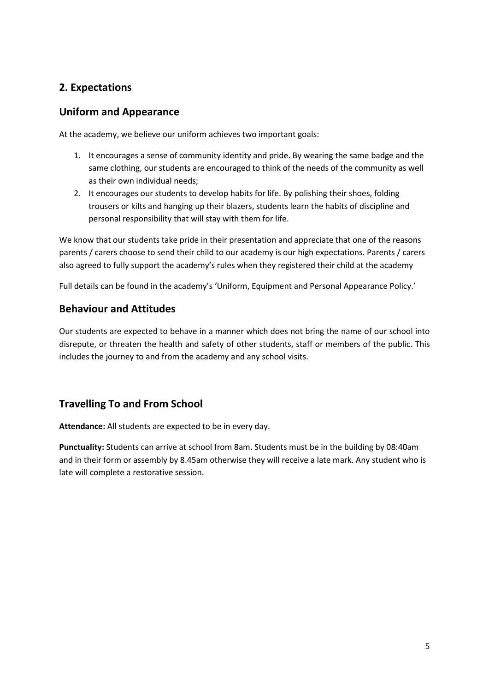# **2. Expectations**

# **Uniform and Appearance**

At the academy, we believe our uniform achieves two important goals:

- 1. It encourages a sense of community identity and pride. By wearing the same badge and the same clothing, our students are encouraged to think of the needs of the community as well as their own individual needs;
- 2. It encourages our students to develop habits for life. By polishing their shoes, folding trousers or kilts and hanging up their blazers, students learn the habits of discipline and personal responsibility that will stay with them for life.

We know that our students take pride in their presentation and appreciate that one of the reasons parents / carers choose to send their child to our academy is our high expectations. Parents / carers also agreed to fully support the academy's rules when they registered their child at the academy

Full details can be found in the academy's 'Uniform, Equipment and Personal Appearance Policy.'

# **Behaviour and Attitudes**

Our students are expected to behave in a manner which does not bring the name of our school into disrepute, or threaten the health and safety of other students, staff or members of the public. This includes the journey to and from the academy and any school visits.

# **Travelling To and From School**

**Attendance:** All students are expected to be in every day.

**Punctuality:** Students can arrive at school from 8am. Students must be in the building by 08:40am and in their form or assembly by 8.45am otherwise they will receive a late mark. Any student who is late will complete a restorative session.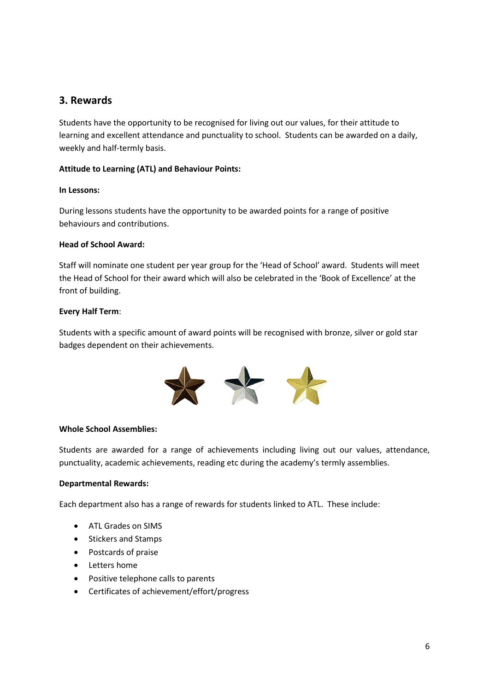# **3. Rewards**

Students have the opportunity to be recognised for living out our values, for their attitude to learning and excellent attendance and punctuality to school. Students can be awarded on a daily, weekly and half-termly basis.

# **Attitude to Learning (ATL) and Behaviour Points:**

#### **In Lessons:**

During lessons students have the opportunity to be awarded points for a range of positive behaviours and contributions.

#### **Head of School Award:**

Staff will nominate one student per year group for the 'Head of School' award. Students will meet the Head of School for their award which will also be celebrated in the 'Book of Excellence' at the front of building.

#### **Every Half Term**:

Students with a specific amount of award points will be recognised with bronze, silver or gold star badges dependent on their achievements.



#### **Whole School Assemblies:**

Students are awarded for a range of achievements including living out our values, attendance, punctuality, academic achievements, reading etc during the academy's termly assemblies.

#### **Departmental Rewards:**

Each department also has a range of rewards for students linked to ATL. These include:

- ATL Grades on SIMS
- Stickers and Stamps
- Postcards of praise
- Letters home
- Positive telephone calls to parents
- Certificates of achievement/effort/progress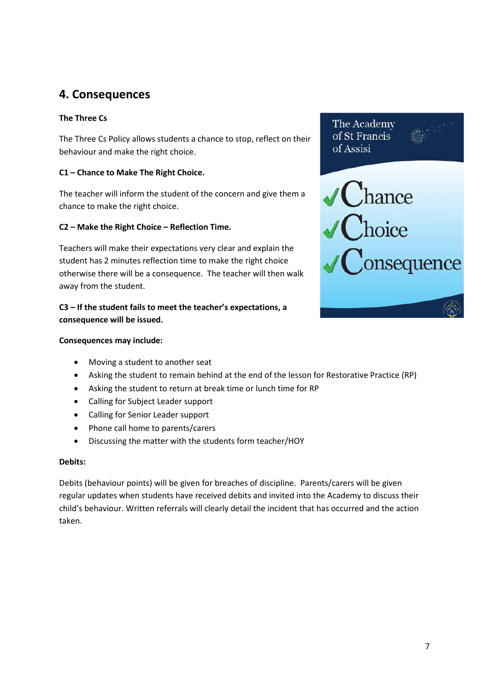# **4. Consequences**

# **The Three Cs**

The Three Cs Policy allows students a chance to stop, reflect on their behaviour and make the right choice.

# **C1 – Chance to Make The Right Choice.**

The teacher will inform the student of the concern and give them a chance to make the right choice.

# **C2 – Make the Right Choice – Reflection Time.**

Teachers will make their expectations very clear and explain the student has 2 minutes reflection time to make the right choice otherwise there will be a consequence. The teacher will then walk away from the student.

# **C3 – If the student fails to meet the teacher's expectations, a consequence will be issued.**

#### **Consequences may include:**

- Moving a student to another seat
- Asking the student to remain behind at the end of the lesson for Restorative Practice (RP)
- Asking the student to return at break time or lunch time for RP
- Calling for Subject Leader support
- Calling for Senior Leader support
- Phone call home to parents/carers
- Discussing the matter with the students form teacher/HOY

#### **Debits:**

Debits (behaviour points) will be given for breaches of discipline. Parents/carers will be given regular updates when students have received debits and invited into the Academy to discuss their child's behaviour. Written referrals will clearly detail the incident that has occurred and the action taken.

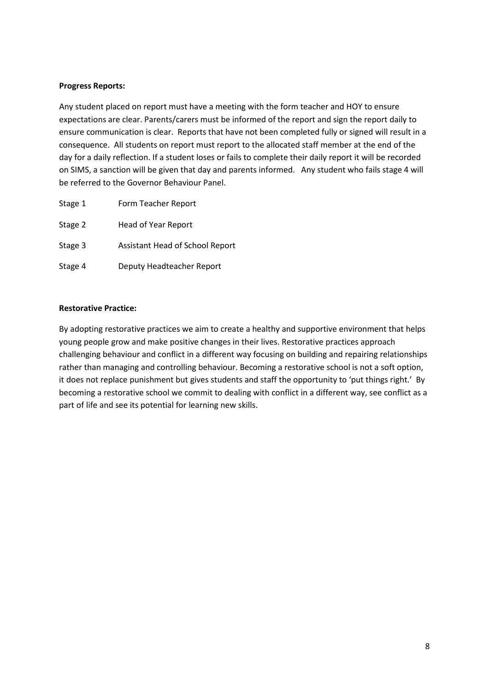#### **Progress Reports:**

Any student placed on report must have a meeting with the form teacher and HOY to ensure expectations are clear. Parents/carers must be informed of the report and sign the report daily to ensure communication is clear. Reports that have not been completed fully or signed will result in a consequence. All students on report must report to the allocated staff member at the end of the day for a daily reflection. If a student loses or fails to complete their daily report it will be recorded on SIMS, a sanction will be given that day and parents informed. Any student who fails stage 4 will be referred to the Governor Behaviour Panel.

| Stage 1 | Form Teacher Report             |
|---------|---------------------------------|
| Stage 2 | Head of Year Report             |
| Stage 3 | Assistant Head of School Report |
| Stage 4 | Deputy Headteacher Report       |

#### **Restorative Practice:**

By adopting restorative practices we aim to create a healthy and supportive environment that helps young people grow and make positive changes in their lives. Restorative practices approach challenging behaviour and conflict in a different way focusing on building and repairing relationships rather than managing and controlling behaviour. Becoming a restorative school is not a soft option, it does not replace punishment but gives students and staff the opportunity to 'put things right.' By becoming a restorative school we commit to dealing with conflict in a different way, see conflict as a part of life and see its potential for learning new skills.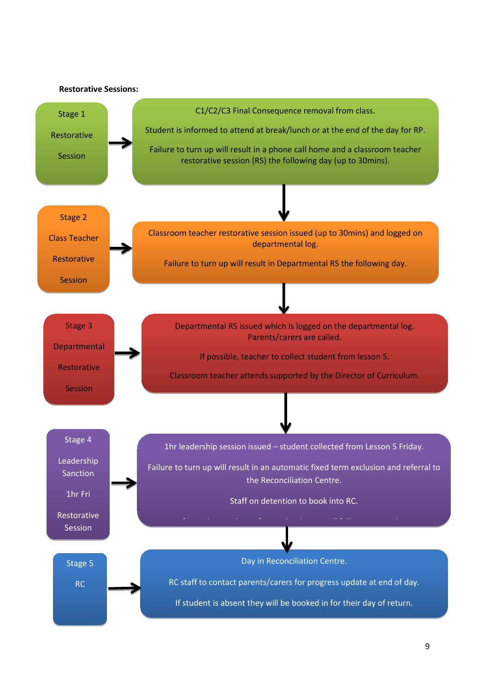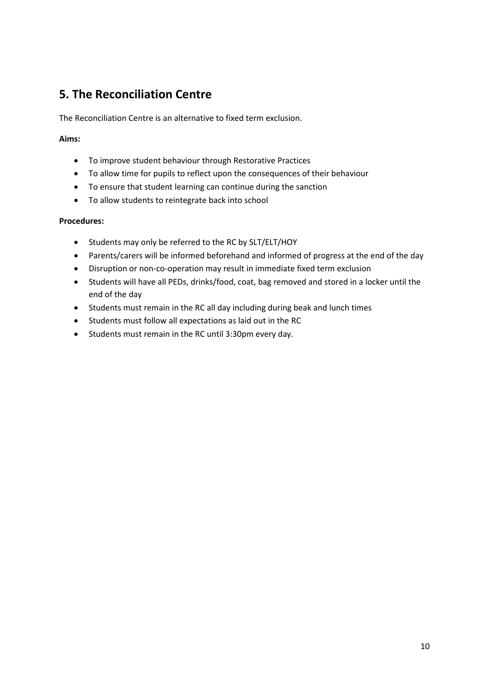# **5. The Reconciliation Centre**

The Reconciliation Centre is an alternative to fixed term exclusion.

# **Aims:**

- To improve student behaviour through Restorative Practices
- To allow time for pupils to reflect upon the consequences of their behaviour
- To ensure that student learning can continue during the sanction
- To allow students to reintegrate back into school

# **Procedures:**

- Students may only be referred to the RC by SLT/ELT/HOY
- Parents/carers will be informed beforehand and informed of progress at the end of the day
- Disruption or non-co-operation may result in immediate fixed term exclusion
- Students will have all PEDs, drinks/food, coat, bag removed and stored in a locker until the end of the day
- Students must remain in the RC all day including during beak and lunch times
- Students must follow all expectations as laid out in the RC
- Students must remain in the RC until 3:30pm every day.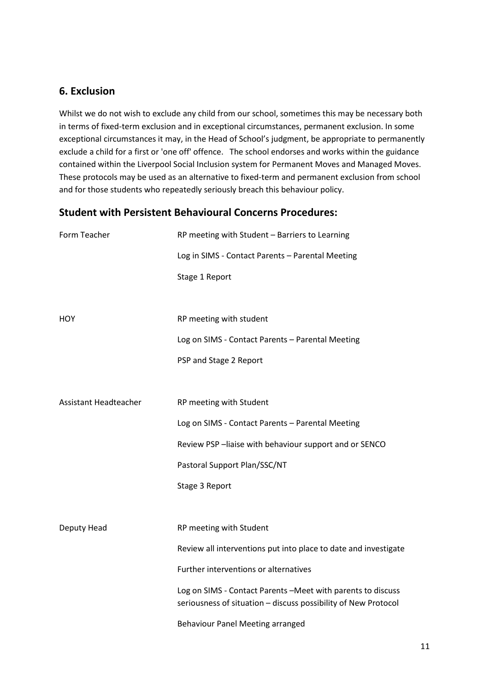# **6. Exclusion**

Whilst we do not wish to exclude any child from our school, sometimes this may be necessary both in terms of fixed-term exclusion and in exceptional circumstances, permanent exclusion. In some exceptional circumstances it may, in the Head of School's judgment, be appropriate to permanently exclude a child for a first or 'one off' offence. The school endorses and works within the guidance contained within the Liverpool Social Inclusion system for Permanent Moves and Managed Moves. These protocols may be used as an alternative to fixed-term and permanent exclusion from school and for those students who repeatedly seriously breach this behaviour policy.

# **Student with Persistent Behavioural Concerns Procedures:**

| Form Teacher                 | RP meeting with Student - Barriers to Learning                                                                                 |
|------------------------------|--------------------------------------------------------------------------------------------------------------------------------|
|                              | Log in SIMS - Contact Parents - Parental Meeting                                                                               |
|                              | Stage 1 Report                                                                                                                 |
|                              |                                                                                                                                |
| <b>HOY</b>                   | RP meeting with student                                                                                                        |
|                              | Log on SIMS - Contact Parents - Parental Meeting                                                                               |
|                              | PSP and Stage 2 Report                                                                                                         |
|                              |                                                                                                                                |
| <b>Assistant Headteacher</b> | RP meeting with Student                                                                                                        |
|                              | Log on SIMS - Contact Parents - Parental Meeting                                                                               |
|                              | Review PSP-liaise with behaviour support and or SENCO                                                                          |
|                              | Pastoral Support Plan/SSC/NT                                                                                                   |
|                              | Stage 3 Report                                                                                                                 |
|                              |                                                                                                                                |
| Deputy Head                  | RP meeting with Student                                                                                                        |
|                              | Review all interventions put into place to date and investigate                                                                |
|                              | Further interventions or alternatives                                                                                          |
|                              | Log on SIMS - Contact Parents - Meet with parents to discuss<br>seriousness of situation - discuss possibility of New Protocol |
|                              | <b>Behaviour Panel Meeting arranged</b>                                                                                        |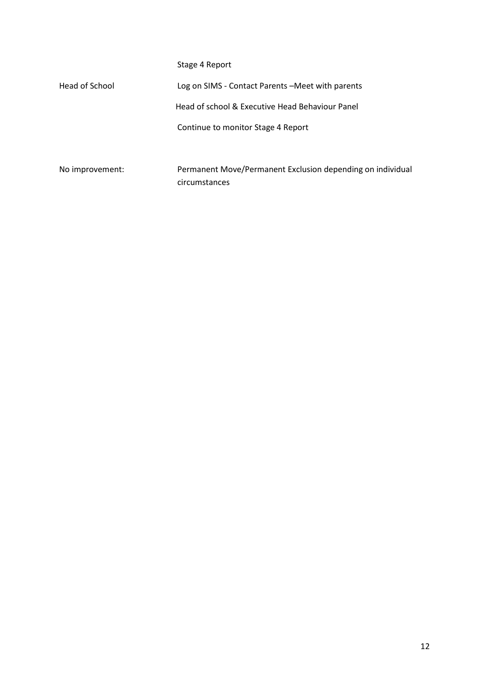|                 | Stage 4 Report                                             |
|-----------------|------------------------------------------------------------|
| Head of School  | Log on SIMS - Contact Parents – Meet with parents          |
|                 | Head of school & Executive Head Behaviour Panel            |
|                 | Continue to monitor Stage 4 Report                         |
|                 |                                                            |
| No improvement: | Permanent Move/Permanent Exclusion depending on individual |
|                 | circumstances                                              |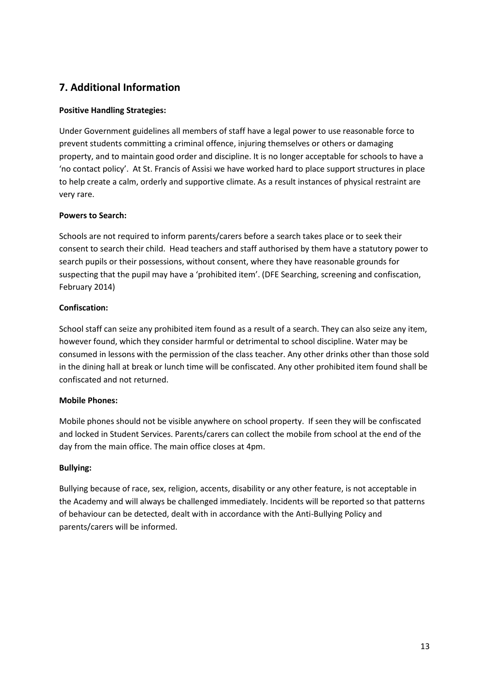# **7. Additional Information**

# **Positive Handling Strategies:**

Under Government guidelines all members of staff have a legal power to use reasonable force to prevent students committing a criminal offence, injuring themselves or others or damaging property, and to maintain good order and discipline. It is no longer acceptable for schools to have a 'no contact policy'. At St. Francis of Assisi we have worked hard to place support structures in place to help create a calm, orderly and supportive climate. As a result instances of physical restraint are very rare.

# **Powers to Search:**

Schools are not required to inform parents/carers before a search takes place or to seek their consent to search their child. Head teachers and staff authorised by them have a statutory power to search pupils or their possessions, without consent, where they have reasonable grounds for suspecting that the pupil may have a 'prohibited item'. (DFE Searching, screening and confiscation, February 2014)

# **Confiscation:**

School staff can seize any prohibited item found as a result of a search. They can also seize any item, however found, which they consider harmful or detrimental to school discipline. Water may be consumed in lessons with the permission of the class teacher. Any other drinks other than those sold in the dining hall at break or lunch time will be confiscated. Any other prohibited item found shall be confiscated and not returned.

# **Mobile Phones:**

Mobile phones should not be visible anywhere on school property. If seen they will be confiscated and locked in Student Services. Parents/carers can collect the mobile from school at the end of the day from the main office. The main office closes at 4pm.

# **Bullying:**

Bullying because of race, sex, religion, accents, disability or any other feature, is not acceptable in the Academy and will always be challenged immediately. Incidents will be reported so that patterns of behaviour can be detected, dealt with in accordance with the Anti-Bullying Policy and parents/carers will be informed.